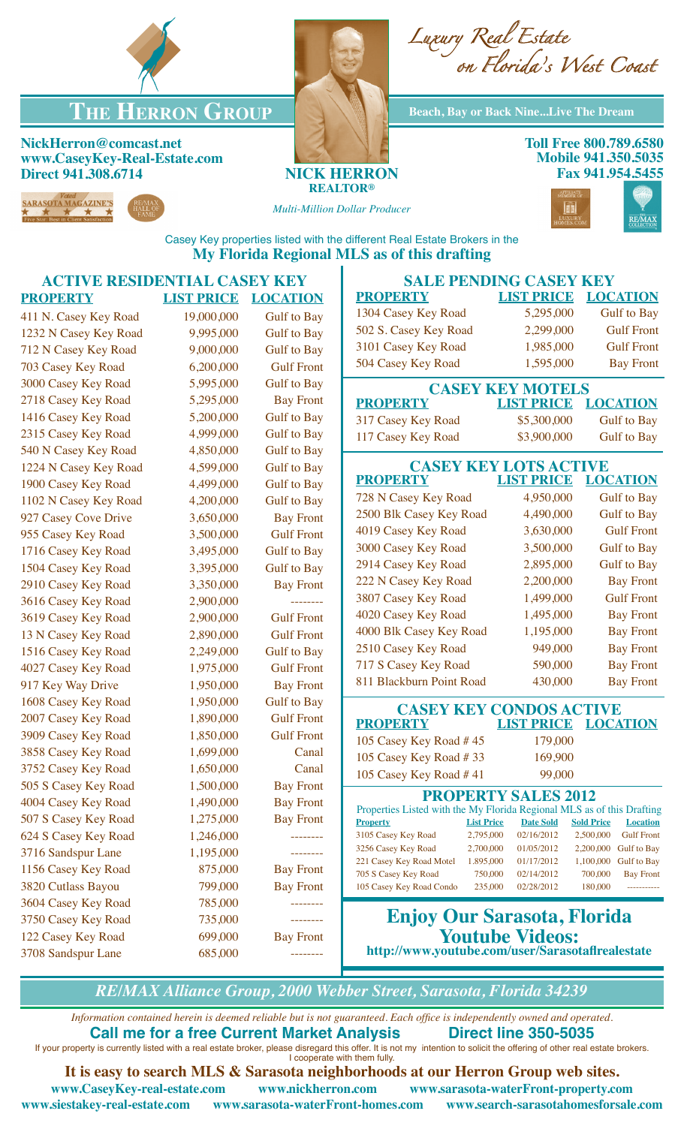



**THE HERRON GROUP** Beach, Bay or Back Nine...Live The Dream

**NickHerron@comcast.net www.CaseyKey-Real-Estate.com Direct 941.308.6714 NICK HERRON**



**REALTOR®**

*Multi-Million Dollar Producer*



**REMAX** 

Casey Key properties listed with the different Real Estate Brokers in the **My Florida Regional MLS as of this drafting**

## **ACTIVE RESIDENTIAL CASEY KEY PROPERTY LIST PRICE LOCATION** 411 N. Casey Key Road 19,000,000 Gulf to Bay 1232 N Casey Key Road 9,995,000 Gulf to Bay 712 N Casey Key Road 9,000,000 Gulf to Bay 703 Casey Key Road 6,200,000 Gulf Front 3000 Casey Key Road 5,995,000 Gulf to Bay 2718 Casey Key Road 5,295,000 Bay Front 1416 Casey Key Road 5,200,000 Gulf to Bay 2315 Casey Key Road 4,999,000 Gulf to Bay 540 N Casey Key Road 4,850,000 Gulf to Bay 1224 N Casey Key Road 4,599,000 Gulf to Bay 1900 Casey Key Road 4,499,000 Gulf to Bay 1102 N Casey Key Road 4,200,000 Gulf to Bay 927 Casey Cove Drive 3,650,000 Bay Front 955 Casey Key Road 3,500,000 Gulf Front 1716 Casey Key Road 3,495,000 Gulf to Bay 1504 Casey Key Road 3,395,000 Gulf to Bay 2910 Casey Key Road 3,350,000 Bay Front 3616 Casey Key Road 2,900,000 -------- 3619 Casey Key Road 2,900,000 Gulf Front 13 N Casey Key Road 2,890,000 Gulf Front 1516 Casey Key Road 2,249,000 Gulf to Bay 4027 Casey Key Road 1,975,000 Gulf Front 917 Key Way Drive 1,950,000 Bay Front 1608 Casey Key Road 1,950,000 Gulf to Bay 2007 Casey Key Road 1,890,000 Gulf Front 3909 Casey Key Road 1,850,000 Gulf Front 3858 Casey Key Road 1,699,000 Canal 3752 Casey Key Road 1,650,000 Canal 505 S Casey Key Road 1,500,000 Bay Front 4004 Casey Key Road 1,490,000 Bay Front 507 S Casey Key Road 1,275,000 Bay Front 624 S Casey Key Road 1,246,000 --------3716 Sandspur Lane 1,195,000 --------1156 Casey Key Road 875,000 Bay Front 3820 Cutlass Bayou 799,000 Bay Front 3604 Casey Key Road 785,000 --------3750 Casey Key Road 735,000 --------122 Casey Key Road 699,000 Bay Front 3708 Sandspur Lane 685,000 ---------**SALE PENDING CASEY KEY PROPERTY LIST PRICE LOCATION** 1304 Casey Key Road 5,295,000 Gulf to Bay 502 S. Casey Key Road 2,299,000 Gulf Front 3101 Casey Key Road 1,985,000 Gulf Front 504 Casey Key Road 1,595,000 Bay Front **CASEY KEY MOTELS<br>PROPERTY LIST PRICE LOCATION LIST PRICE** 317 Casey Key Road \$5,300,000 Gulf to Bay 117 Casey Key Road \$3,900,000 Gulf to Bay **CASEY KEY LOTS ACTIVE<br>PROPERTY LIST PRICE LOC LIST PRICE LOCATION** 728 N Casey Key Road 4,950,000 Gulf to Bay 2500 Blk Casey Key Road 4,490,000 Gulf to Bay 4019 Casey Key Road 3,630,000 Gulf Front 3000 Casey Key Road 3,500,000 Gulf to Bay 2914 Casey Key Road 2,895,000 Gulf to Bay 222 N Casey Key Road 2,200,000 Bay Front 3807 Casey Key Road 1,499,000 Gulf Front 4020 Casey Key Road 1,495,000 Bay Front 4000 Blk Casey Key Road 1,195,000 Bay Front 2510 Casey Key Road 949,000 Bay Front 717 S Casey Key Road 590,000 Bay Front 811 Blackburn Point Road 430,000 Bay Front **CASEY KEY CONDOS ACTIVE<br>PROPERTY LIST PRICE LOCATION LIST PRICE** 105 Casey Key Road # 45 179,000 105 Casey Key Road # 33 169,900 105 Casey Key Road # 41 99,000 **PROPERTY SALES 2012** Properties Listed with the My Florida Regional MLS as of this Drafting **Property List Price Date Sold Sold Price Location** 3105 Casey Key Road 2,795,000 02/16/2012 2,500,000 Gulf Front 3256 Casey Key Road 2,700,000 01/05/2012 2,200,000 Gulf to Bay 221 Casey Key Road Motel 1.895,000 01/17/2012 1,100,000 Gulf to Bay 705 S Casey Key Road 750,000 02/14/2012 700,000 Bay Front 105 Casey Key Road Condo 235,000 02/28/2012 180,000 **Enjoy Our Sarasota, Florida Youtube Videos: http://www.youtube.com/user/Sarasotaflrealestate**

*RE/MAX Alliance Group, 2000 Webber Street, Sarasota, Florida 34239*

*Information contained herein is deemed reliable but is not guaranteed. Each office is independently owned and operated.* **Call me for a free Current Market Analysis Direct line 350-5035**

If your property is currently listed with a real estate broker, please disregard this offer. It is not my intention to solicit the offering of other real estate brokers. I cooperate with them fully.

**It is easy to search MLS & Sarasota neighborhoods at our Herron Group web sites.**

**www.CaseyKey-real-estate.com www.nickherron.com www.sarasota-waterFront-property.com www.siestakey-real-estate.com www.sarasota-waterFront-homes.com www.search-sarasotahomesforsale.com**

**Toll Free 800.789.6580 Mobile 941.350.5035 Fax 941.954.5455**